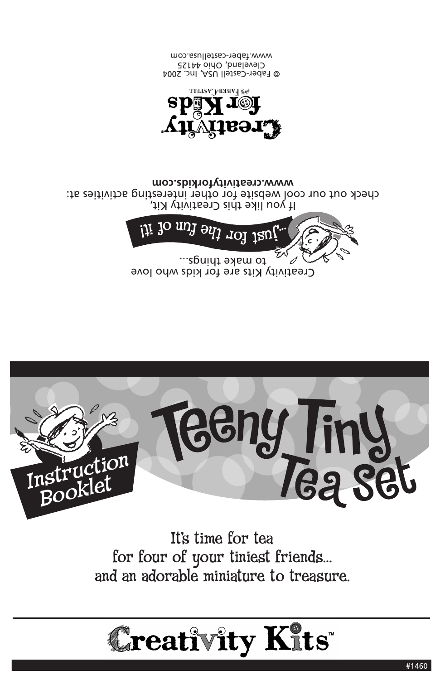## **Creativity Kits**

It's time for tea for four of your tiniest friends… and an adorable miniature to treasure.



Creativity Kits are for kids who love to make tpings... ...



If you like this Creativity Kit, check out our cool website for other interesting activities at: **www.creativityforkids.com**



© Faber-Castell USA, Inc. 2004 Cleveland, Ohio 44125 www.faber-castellusa.com